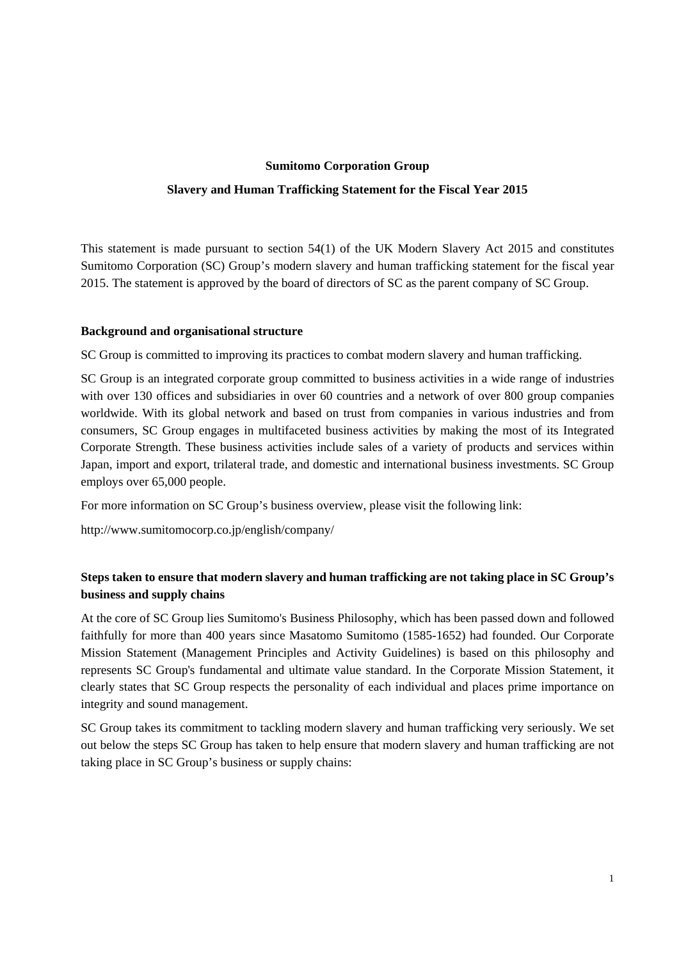#### **Sumitomo Corporation Group**

## **Slavery and Human Trafficking Statement for the Fiscal Year 2015**

This statement is made pursuant to section 54(1) of the UK Modern Slavery Act 2015 and constitutes Sumitomo Corporation (SC) Group's modern slavery and human trafficking statement for the fiscal year 2015. The statement is approved by the board of directors of SC as the parent company of SC Group.

## **Background and organisational structure**

SC Group is committed to improving its practices to combat modern slavery and human trafficking.

SC Group is an integrated corporate group committed to business activities in a wide range of industries with over 130 offices and subsidiaries in over 60 countries and a network of over 800 group companies worldwide. With its global network and based on trust from companies in various industries and from consumers, SC Group engages in multifaceted business activities by making the most of its Integrated Corporate Strength. These business activities include sales of a variety of products and services within Japan, import and export, trilateral trade, and domestic and international business investments. SC Group employs over 65,000 people.

For more information on SC Group's business overview, please visit the following link:

http://www.sumitomocorp.co.jp/english/company/

# **Steps taken to ensure that modern slavery and human trafficking are not taking place in SC Group's business and supply chains**

At the core of SC Group lies Sumitomo's Business Philosophy, which has been passed down and followed faithfully for more than 400 years since Masatomo Sumitomo (1585-1652) had founded. Our Corporate Mission Statement (Management Principles and Activity Guidelines) is based on this philosophy and represents SC Group's fundamental and ultimate value standard. In the Corporate Mission Statement, it clearly states that SC Group respects the personality of each individual and places prime importance on integrity and sound management.

SC Group takes its commitment to tackling modern slavery and human trafficking very seriously. We set out below the steps SC Group has taken to help ensure that modern slavery and human trafficking are not taking place in SC Group's business or supply chains: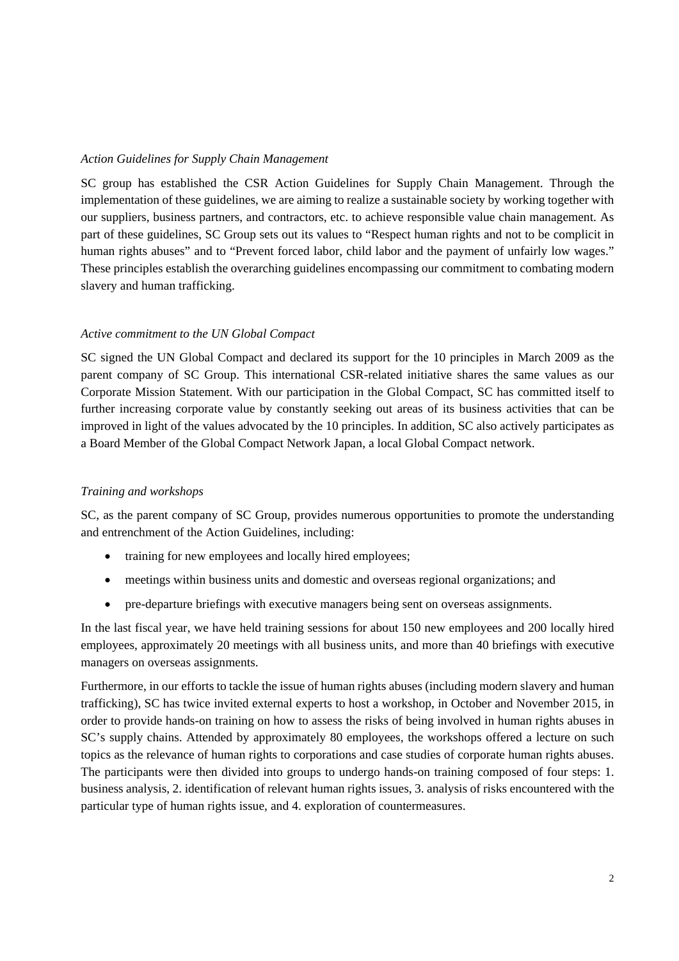#### *Action Guidelines for Supply Chain Management*

SC group has established the CSR Action Guidelines for Supply Chain Management. Through the implementation of these guidelines, we are aiming to realize a sustainable society by working together with our suppliers, business partners, and contractors, etc. to achieve responsible value chain management. As part of these guidelines, SC Group sets out its values to "Respect human rights and not to be complicit in human rights abuses" and to "Prevent forced labor, child labor and the payment of unfairly low wages." These principles establish the overarching guidelines encompassing our commitment to combating modern slavery and human trafficking.

### *Active commitment to the UN Global Compact*

SC signed the UN Global Compact and declared its support for the 10 principles in March 2009 as the parent company of SC Group. This international CSR-related initiative shares the same values as our Corporate Mission Statement. With our participation in the Global Compact, SC has committed itself to further increasing corporate value by constantly seeking out areas of its business activities that can be improved in light of the values advocated by the 10 principles. In addition, SC also actively participates as a Board Member of the Global Compact Network Japan, a local Global Compact network.

## *Training and workshops*

SC, as the parent company of SC Group, provides numerous opportunities to promote the understanding and entrenchment of the Action Guidelines, including:

- training for new employees and locally hired employees;
- meetings within business units and domestic and overseas regional organizations; and
- pre-departure briefings with executive managers being sent on overseas assignments.

In the last fiscal year, we have held training sessions for about 150 new employees and 200 locally hired employees, approximately 20 meetings with all business units, and more than 40 briefings with executive managers on overseas assignments.

Furthermore, in our efforts to tackle the issue of human rights abuses (including modern slavery and human trafficking), SC has twice invited external experts to host a workshop, in October and November 2015, in order to provide hands-on training on how to assess the risks of being involved in human rights abuses in SC's supply chains. Attended by approximately 80 employees, the workshops offered a lecture on such topics as the relevance of human rights to corporations and case studies of corporate human rights abuses. The participants were then divided into groups to undergo hands-on training composed of four steps: 1. business analysis, 2. identification of relevant human rights issues, 3. analysis of risks encountered with the particular type of human rights issue, and 4. exploration of countermeasures.